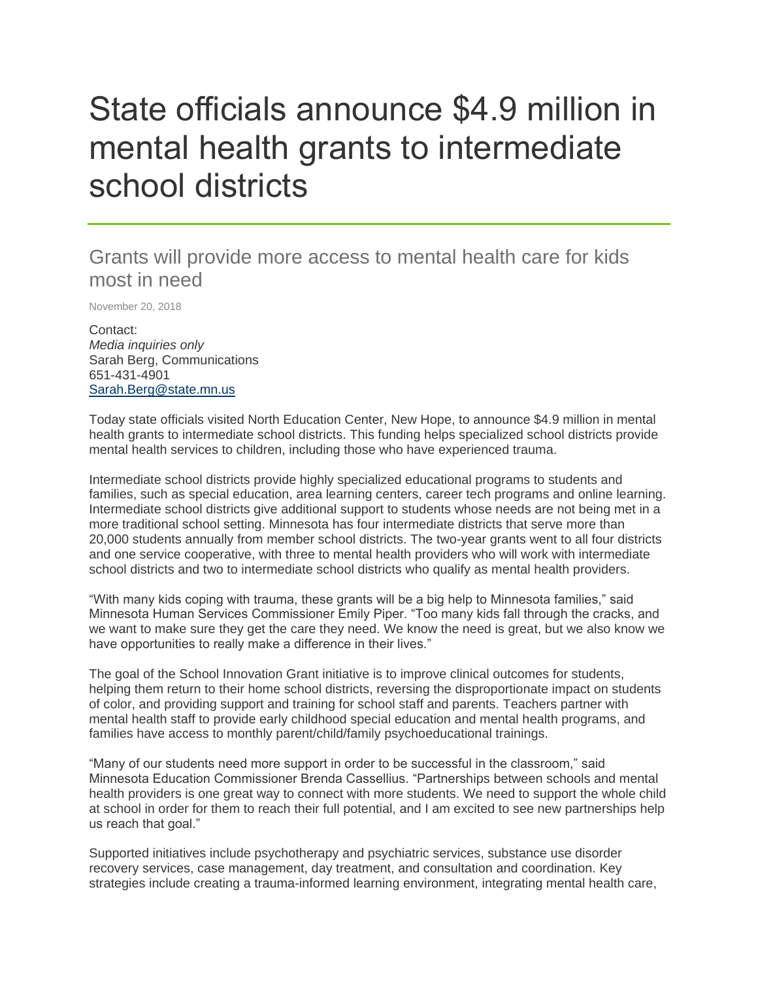## State officials announce \$4.9 million in mental health grants to intermediate school districts

## Grants will provide more access to mental health care for kids most in need

November 20, 2018

Contact: *Media inquiries only* Sarah Berg, Communications 651-431-4901 [Sarah.Berg@state.mn.us](mailto:Sarah.Berg@state.mn.us)

Today state officials visited North Education Center, New Hope, to announce \$4.9 million in mental health grants to intermediate school districts. This funding helps specialized school districts provide mental health services to children, including those who have experienced trauma.

Intermediate school districts provide highly specialized educational programs to students and families, such as special education, area learning centers, career tech programs and online learning. Intermediate school districts give additional support to students whose needs are not being met in a more traditional school setting. Minnesota has four intermediate districts that serve more than 20,000 students annually from member school districts. The two-year grants went to all four districts and one service cooperative, with three to mental health providers who will work with intermediate school districts and two to intermediate school districts who qualify as mental health providers.

"With many kids coping with trauma, these grants will be a big help to Minnesota families," said Minnesota Human Services Commissioner Emily Piper. "Too many kids fall through the cracks, and we want to make sure they get the care they need. We know the need is great, but we also know we have opportunities to really make a difference in their lives."

The goal of the School Innovation Grant initiative is to improve clinical outcomes for students, helping them return to their home school districts, reversing the disproportionate impact on students of color, and providing support and training for school staff and parents. Teachers partner with mental health staff to provide early childhood special education and mental health programs, and families have access to monthly parent/child/family psychoeducational trainings.

"Many of our students need more support in order to be successful in the classroom," said Minnesota Education Commissioner Brenda Cassellius. "Partnerships between schools and mental health providers is one great way to connect with more students. We need to support the whole child at school in order for them to reach their full potential, and I am excited to see new partnerships help us reach that goal."

Supported initiatives include psychotherapy and psychiatric services, substance use disorder recovery services, case management, day treatment, and consultation and coordination. Key strategies include creating a trauma-informed learning environment, integrating mental health care,